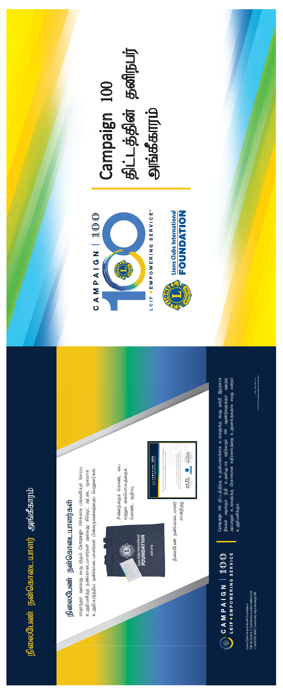Lions Clubs International Foundation 300 W. 22nd St. | Oak Brook, IL 60523-8842 USA



# நிலைபேண் நன்கொடையாளர் அங்கீகாரம் நிலைபேண் நன்கொடையாளர் அங்கீகாரம்

### நிலைபேண் நன்கொடையாளர்கள் நிலைபேண் நன்கொடையாளர்கள்

Lions Clubs International Foundation<br>300 W. 22nd St. | Oak Brook, IL 60523-8842 USA<br>+1.630.203.3836 | lionsclubs.org/campaign 100